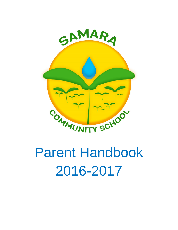

# Parent Handbook 2016-2017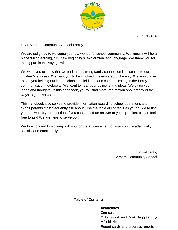

August 2016

Dear Samara Community School Family,

We are delighted to welcome you to a wonderful school community. We know it will be a place full of learning, fun, new beginnings, exploration, and language. We thank you for taking part in this voyage with us.

We want you to know that we feel that a strong family connection is essential to our children's success. We want you to be involved in every step of the way. We would love to see you helping out in the school, on field trips and communicating in the family communication notebooks. We want to hear your opinions and ideas. We value your ideas and thoughts. In this handbook, you will find more information about many of the ways to get involved.

This handbook also serves to provide information regarding school operations and things parents most frequently ask about. Use the table of contents as your guide to find your answer to your question. If you cannot find an answer to your question, please feel free to ask! We are here to serve you!

We look forward to working with you for the advancement of your child, academically, socially and emotionally.

> In solidarity, Samara Community School

**Table of Contents**

# **Academics**

Dual language

2 **Curriculum** \*\*Homework and Book Baggies \*\*Field trips Report cards and progress reports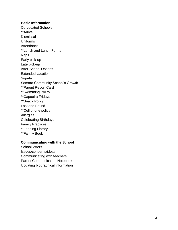#### **Basic Information**

Co -Located Schools \*\*Arrival **Dismissal** Uniforms **Attendance** \*\*Lunch and Lunch Forms Naps Early pick -up Late pick -up After -School Options Extended vacation Sign -In Samara Community School's Growth \*\*Parent Report Card \*\*Swimming Policy \*\*Capoeira Fridays \*\*Snack Policy Lost and Found \*\* Cell phone policy **Allergies** Celebrating Birthdays Family Practices \*\*Lending Library \*\*Family Book

#### **Communicating with the School**

School letters Issues/concerns/ideas Communicating with teachers Parent Communication Notebook Updating biographical information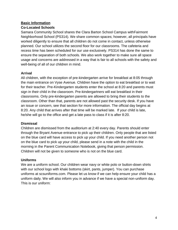# **Basic Information**

## **Co-Located Schools**

Samara Community School shares the Clara Barton School Campus withFairmont Neighborhood School (PS314). We share common spaces; however, all principals have worked diligently to ensure that all children do not come in contact, unless otherwise planned. Our school utilizes the second floor for our classrooms. The cafeteria and recess time has been scheduled for our use exclusively. PS314 has done the same to ensure the separation of both schools. We also work together to make sure all space usage and concerns are addressed in a way that is fair to all schools with the safety and well-being of all of our children in mind.

## **Arrival**

All children, with the exception of pre-kindergarten arrive for breakfast at 8:05 through the main entrance on Vyse Avenue. Children have the option to eat breakfast or to wait for their teacher. Pre-Kindergarten students enter the school at 8:20 and parents must sign in their child in the classroom. Pre-kindergartners will eat breakfast in their classrooms. Only pre-kindergarten parents are allowed to bring their students to the classroom. Other than that, parents are not allowed past the security desk. If you have an issue or concern, see that section for more information. The official day begins at 8:20. Any child that arrives after that time will be marked late. If your child is late, he/she will go to the office and get a late pass to class if it is after 8:20.

# **Dismissal**

Children are dismissed from the auditorium at 2:40 every day. Parents should enter through the Bryant Avenue entrance to pick up their children. Only people that are listed on the blue card will have access to pick up your child. If you need another person not on the blue card to pick up your child, please send in a note with the child in the morning in the Parent Communication Notebook, giving that person permission. Children will not be given to someone who is not on the blue card.

# **Uniforms**

We are a uniform school. Our children wear navy or white polo or button-down shirts with our school logo with khaki bottoms (skirt, pants, jumper). You can purchase uniforms at scsuniforms.com. Please let us know if we can help ensure your child has a uniform daily. We will also inform you in advance if we have a special non-uniform day. This is our uniform: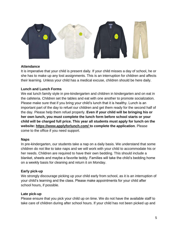

#### **Attendance**

It is imperative that your child is present daily. If your child misses a day of school, he or she has to make up any lost assignments. This is an interruption for children and affects their learning. Unless your child has a medical excuse, children should be here daily.

#### **Lunch and Lunch Forms**

We eat lunch family style in pre-kindergarten and children in kindergarten and on eat in the cafeteria. Children set the tables and eat with one another to promote socialization. Please make sure that if you bring your child's lunch that it is healthy. Lunch is an important part of the day to refuel our children and get them ready for the second half of the day. Please help them refuel properly. **Even if your child will be bringing his or her own lunch, you must complete the lunch form before school starts or your child will be charged full price. This year all students must apply for lunch on the website: https://www.applyforlunch.com/ to complete the application**. Please come to the office if you need support.

#### **Naps**

In pre-kindergarten, our students take a nap on a daily basis. We understand that some children do not like to take naps and we will work with your child to accommodate his or her needs. Children are required to have their own bedding. This should include a blanket, sheets and maybe a favorite teddy. Families will take the child's bedding home on a weekly basis for cleaning and return it on Monday.

#### **Early pick-up**

We strongly discourage picking up your child early from school, as it is an interruption of your child's learning and the class. Please make appointments for your child after school hours, if possible.

#### **Late pick-up**

Please ensure that you pick your child up on time. We do not have the available staff to take care of children during after school hours. If your child has not been picked up and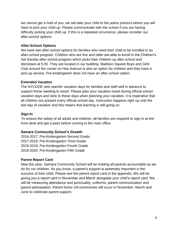we cannot get a hold of you, we will take your child to the police precinct where you will have to pick your child up. Please communicate with the school if you are having difficulty picking your child up. If this is a repeated occurrence, please consider our after-school options.

## **After-School Options**

We have two after-school options for families who need their child to be enrolled in an after-school program. Children who are five and older are able to enroll in the Children's Aid Society after-school program which picks their children up after school and dismisses at 5:30. They are located in our building. Madison Square Boys and Girls Club around the corner on Hoe Avenue is also an option for children and they have a pick-up service. Pre-kindergarten does not have an after-school option.

## **Extended Vacation**

The NYCDOE sets specific vacation days for families and staff well in advance to support those needing to travel. Please plan your vacation travel during official school vacation days and stick to these days when planning your vacation. It is imperative that all children are present every official school day. Instruction happens right up until the last day of vacation and this means that learning is still going on.

## **Sign-In**

To ensure the safety of all adults and children, all families are required to sign in at the front desk and get a pass before coming to the main office.

# **Samara Community School's Growth**

2016-2017: Pre-Kindergarten-Second Grade 2017-2018: Pre-Kindergarten-Third Grade 2018-2019: Pre-Kindergarten-Fourth Grade 2019-2020: Pre-Kindergarten-Fifth Grade

# **Parent Report Card**

New this year, Samara Community School will be holding all parents accountable as we do for our children. As you know, a parent's support is extremely important in the success of their child. Please see the parent report card in the appendix. We will be giving you a report card in November and March alongside your child's report card. We will be measuring attendance and punctuality, uniforms, parent communication and parent participation. Parent honor roll ceremonies will occur in November, March and June to celebrate parent support.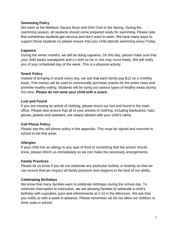#### **Swimming Policy**

We swim at the Madison Square Boys and Girls Club in the Spring. During the swimming season, all students should come prepared ready for swimming. Please note that sometimes students get nervous and don't want to swim. We have many ways to support these students so please ensure that your child attends swimming every Friday.

#### **Capoeira**

During the winter months, we will be doing capoeira. On this day, please make sure that your child wears sweatpants and a t-shirt so he or she may move freely. We will notify you of your scheduled day of the week. This is a physical activity.

#### **Snack Policy**

Instead of bringing in snack every day, we ask that each family pay \$12 on a monthly basis. This money will be used to communally purchase snacks for the entire class and promote healthy eating. Students will be trying out various types of healthy treats during this time. **Please do not send your child with a snack.** 

#### **Lost and Found**

If you are missing an article of clothing, please check our lost and found in the main office. Please also ensure that all of your articles of clothing, including backpacks, hats, gloves, jackets and sweaters, are clearly labeled with your child's name.

#### **Cell Phone Policy**

Please see the cell phone policy in the appendix. This must be signed and returned to school in the first week.

#### **Allergies**

If your child has an allergy to any type of food or something that the school should know, please inform us immediately so we can make the necessary arrangements.

#### **Family Practices**

Please let us know if you do not celebrate any particular holiday or festivity so that we can ensure that we respect all family practices and religions to the best of our ability.

#### **Celebrating Birthdays**

We know that many families want to celebrate birthdays during the school day. To minimize interruption to instruction, we are allowing families to celebrate a child's birthday with cupcakes, juice and refreshments at 2:10 in the afternoon. We ask that you notify us with a week in advance. Please remember we do not allow our children to drink soda in school.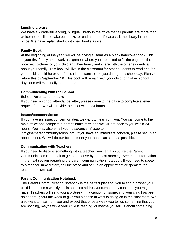## **Lending Library**

We have a wonderful lending, bilingual library in the office that all parents are more than welcome to utilize to take out books to read at home. Please visit the library in the office. We have replenished it with new books as well.

## **Family Book**

At the beginning of the year, we will be giving all families a blank hardcover book. This is your first family homework assignment where you are asked to fill the pages of the book with pictures of your child and their family and share with the other students all about your family. This book will live in the classroom for other students to read and for your child should he or she feel sad and want to see you during the school day. Please return this by September 19. This book will remain with your child for his/her school days and will eventually be returned.

# **Communicating with the School**

#### **School Attendance letters**

If you need a school attendance letter, please come to the office to complete a letter request form. We will provide the letter within 24 hours.

#### **Issues/concerns/ideas**

If you have an issue, concern or idea, we want to hear from you. You can come to the main office and complete a parent intake form and we will get back to you within 24 hours. You may also email your idea/concern/issue to:

[info@samaracommunityschool.org.](mailto:info@samaracommunityschool.org) If you have an immediate concern, please set up an appointment. We will do our best to meet your needs as soon as possible.

#### **Communicating with Teachers**

If you need to discuss something with a teacher, you can also utilize the Parent Communication Notebook to get a response by the next morning. See more information in the next section regarding the parent communication notebook. If you need to speak to a teacher immediately, call the office and set up an appointment or speak to the teacher at dismissal.

#### **Parent Communication Notebook**

The Parent Communication Notebook is the perfect place for you to find out what your child is up to on a weekly basis and also address/document any concerns you might have. Teachers will send you a picture with a caption on something your child has been doing throughout the week to give you a sense of what is going on in the classroom. We also want to hear from you and expect that once a week you tell us something that you are noticing, maybe while your child is reading, or maybe you tell us about something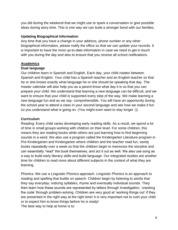you did during the weekend that we might use to spark a conversation or give possible ideas during story time. This is one way we can build a stronger bond with our families.

## **Updating Biographical Information**

Any time that you have a change in your address, phone number or any other biographical information, please notify the office so that we can update your records. It is important to have the most up-to-date information in case we need to get in touch with you during the day and also to ensure that you receive all school notifications.

# **Academics**

#### **Dual language**

Our children learn in Spanish and English. Each day, your child rotates between Spanish and English. Your child has a Spanish teacher and an English teacher so that he or she knows exactly what language he or she should be speaking that day. The master calendar will also help you as a parent know what day it is so that you can prepare your child. We understand that learning a new language can be difficult, and we want to ensure that your child is supported every step of the way. We make learning a new language fun and as we say- comprehensible. You will have an opportunity during the school year to attend a class in your second language and see how we make it fun so you understand what is going on. (You might even want to stay longer :)).

# **Curriculum**

Reading: Every child varies developing early reading skills. As a result, we spend a lot of time in small groups working with children on their level. For some children, this means they are reading books while others are just learning how to find beginning sounds in a word. We also use a program called the Kindergarten Literature program in Pre-Kindergarten and Kindergarten where children and the teacher read fun, wordy books repeatedly over a week so that the children begin to memorize the storyline and can essentially "read" the book themselves, and act it out as well. We also use song as a way to build early literacy skills and build language. Our integrated studies are another time for children to read more about different subjects in the context of what they are learning.

Phonics: We use a Linguistic Phonics approach. Linguistic Phonics is an approach to reading and spelling that builds on speech. Children begin by listening to words that they say everyday: noticing syllables, rhyme and eventually individual sounds. They then learn how these sounds are represented by letters through investigation, 'cracking the code' through problem-solving. Children are very good at 'working things out' if they are presented in the right way at the right time! It is very important not to rush your child or to expect him to know things before he is ready! The best way to help at home is to: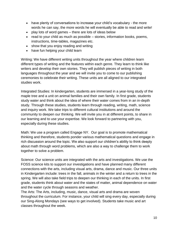- have plenty of conversations to increase your child's vocabulary the more words he can say, the more words he will eventually be able to read and write!
- play lots of word games there are lots of ideas below
- read to your child as much as possible stories, information books, poems, instructions, time-tables, magazines etc.
- show that you enjoy reading and writing
- have fun helping your child learn

Writing: We have different writing units throughout the year where children learn different types of writing and the features within each genre. They learn to think like writers and develop their own stories. They will publish pieces of writing in both languages throughout the year and we will invite you to come to our publishing ceremonies to celebrate their writing. These units are all aligned to our integrated studies work.

Integrated Studies: In kindergarten, students are immersed in a year-long study of the maple tree and a unit on animal families and their own family. In first grade, students study water and think about the idea of where their water comes from in an in-depth study. Through these studies, students learn through reading, writing, math, science and inquiry work. We take trips to different cultural institutions and around the community to deepen our thinking. We will invite you in at different points, to share in our learning and to use your expertise. We look forward to partnering with you, especially during these studies.

Math: We use a program called Engage NY. Our goal is to promote mathematical thinking and therefore, students ponder various mathematical questions and engage in rich discussion around the topic. We also support our children's ability to think deeply about math through word problems, which are also a way to challenge them to work together to solve a problem.

Science: Our science units are integrated with the arts and investigations. We use the FOSS science kits to support our investigations and have planned many different connections with the arts, including visual arts, drama, dance and music. Our three units in Kindergarten include: trees in the fall, animals in the winter and a return to trees in the spring. We will also take field trips to deepen our thinking in each of the units. In first grade, students think about water and the states of matter, animal dependence on water and the water cycle through seasons and weather.

The Arts: The Arts, including, music, dance, visual arts and drama are woven throughout the curriculum. For instance, your child will sing every day, especially during our Sing-Along Mondays (see ways to get involved). Students take music and art classes throughout the week.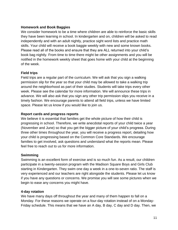## **Homework and Book Baggies**

We consider homework to be a time where children are able to reinforce the basic skills they have been learning in school. In kindergarten and on, children will be asked to read independently and with an adult nightly, practice sight word lists and practice math skills. Your child will receive a book baggie weekly with new and some known books. Please read all of the books and ensure that they are ALL returned into your child's book bag nightly. From time to time there might be other assignments and you will be notified in the homework weekly sheet that goes home with your child at the beginning of the week.

# **Field trips**

Field trips are a regular part of the curriculum. We will ask that you sign a walking permission slip for the year so that your child may be allowed to take a walking trip around the neighborhood as part of their studies. Students will take trips every other week. Please see the calendar for more information. We will announce these trips in advance. We will also ask that you sign any other trip permission slips you receive in a timely fashion. We encourage parents to attend all field trips, unless we have limited space. Please let us know if you would like to join us.

## **Report cards and progress reports**

We believe it is essential that families get the whole picture of how their child is progressing in school. Therefore, we write anecdotal reports of your child twice a year (November and June) so that you get the bigger picture of your child's progress. During three other times throughout the year, you will receive a progress report, detailing how your child is progressing based on the Common Core Standards. We encourage families to get involved, ask questions and understand what the reports mean. Please feel free to reach out to us for more information.

#### **Swimming**

Swimming is an excellent form of exercise and is so much fun. As a result, our children participate in a twenty-session program with the Madison Square Boys and Girls Club starting in Kindergarten. They swim one day a week in a one-to-seven ratio. The staff is very experienced and our teachers are right alongside the students. Please let us know if you have any questions or concerns. We promise you will see some pictures when we begin to ease any concerns you might have.

# **4-day rotation**

We have many days off throughout the year and many of them happen to fall on a Monday. For these reasons we operate on a four-day rotation instead of on a Monday-Friday schedule. This means that we have an A day, B day, C day and D day. Then, we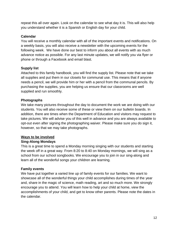repeat this all over again. Look on the calendar to see what day it is. This will also help you understand whether it is a Spanish or English day for your child.

## **Calendar**

You will receive a monthly calendar with all of the important events and notifications. On a weekly basis, you will also receive a newsletter with the upcoming events for the following week. We have done our best to inform you about all events with as much advance notice as possible. For any last minute updates, we will notify you via flyer or phone or through a Facebook and email blast.

# **Supply list**

Attached to this family handbook, you will find the supply list. Please note that we take all supplies and put them in our closets for communal use. This means that if anyone needs a pencil, we will provide him or her with a pencil from the communal pencils. By purchasing the supplies, you are helping us ensure that our classrooms are well supplied and run smoothly.

## **Photographs**

We take many pictures throughout the day to document the work we are doing with our students. You will also receive some of these or view them on our bulletin boards. In addition, there are times when the Department of Education and visitors may request to take pictures. We will advise you of this well in advance and you are always available to opt-out even after signing the photographing waiver. Please make sure you do sign it, however, so that we may take photographs.

# **Ways to be involved**

# **Sing-Along Mondays**

This is a great time to spend a Monday morning singing with our students and starting the week off in a great way. From 8:20 to 8:40 on Monday mornings, we will sing as a school from our school songbooks. We encourage you to join in our sing-along and learn all of the wonderful songs your children are learning.

# **Family events**

We have put together a varied line up of family events for our families. We want to showcase all of the wonderful things your child accomplishes during times of the year and, share in the magic of science, math reading, art and so much more. We strongly encourage you to attend. You will learn how to help your child at home, view the accomplishments of your child, and get to know other parents. Please note the dates in the calendar.